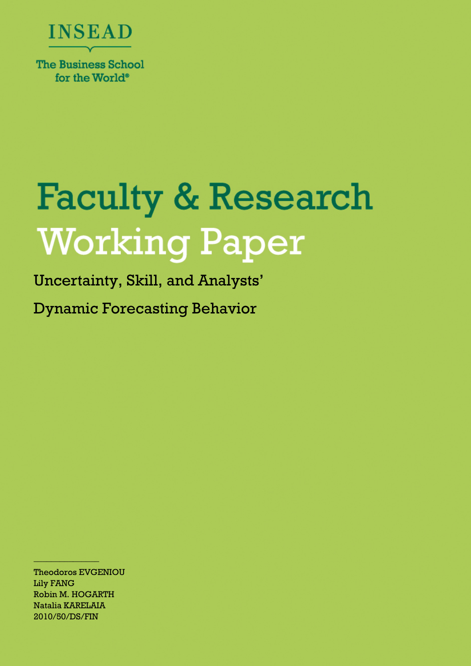

# **Faculty & Research Working Paper**

Uncertainty, Skill, and Analysts'

Dynamic Forecasting Behavior

Theodoros EVGENIOU Lily FANG Robin M. HOGARTH Natalia KARELAIA 2010/50/DS/FIN

\_\_\_\_\_\_\_\_\_\_\_\_\_\_\_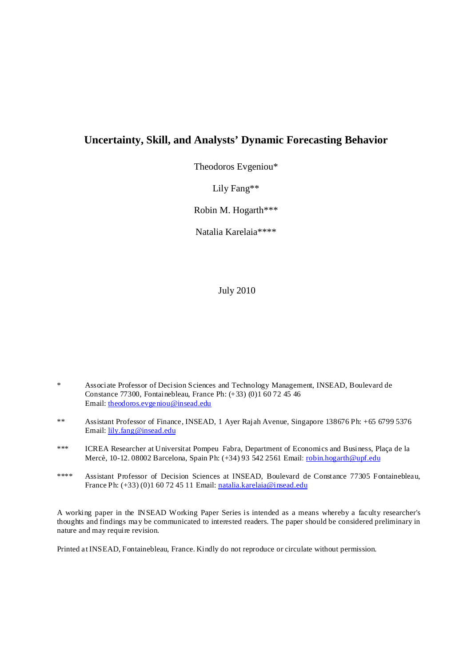# **Uncertainty, Skill, and Analysts' Dynamic Forecasting Behavior**

Theodoros Evgeniou\*

Lily Fang\*\*

Robin M. Hogarth\*\*\*

Natalia Karelaia\*\*\*\*

July 2010

- \* Associate Professor of Decision Sciences and Technology Management, INSEAD, Boulevard de Constance 77300, Fontainebleau, France Ph: (+33) (0)1 60 72 45 46 Email: theodoros.evgeniou@insead.edu
- \*\* Assistant Professor of Finance, INSEAD, 1 Ayer Rajah Avenue, Singapore 138676 Ph: +65 6799 5376 Email: lily.fang@insead.edu
- \*\*\* ICREA Researcher at Universitat Pompeu Fabra, Department of Economics and Business, Plaça de la Mercè, 10-12. 08002 Barcelona, Spain Ph: (+34) 93 542 2561 Email: robin.hogarth@upf.edu
- \*\*\*\* Assistant Professor of Decision Sciences at INSEAD, Boulevard de Constance 77305 Fontainebleau, France Ph: (+33) (0)1 60 72 45 11 Email: natalia.karelaia@insead.edu

A working paper in the INSEAD Working Paper Series is intended as a means whereby a faculty researcher's thoughts and findings may be communicated to interested readers. The paper should be considered preliminary in nature and may require revision.

Printed at INSEAD, Fontainebleau, France. Kindly do not reproduce or circulate without permission.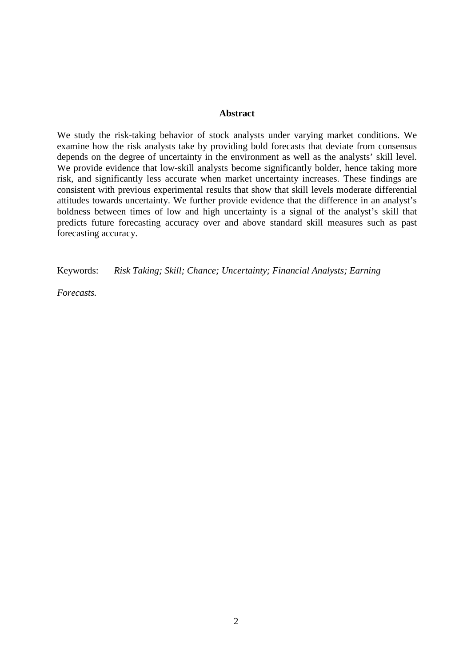#### **Abstract**

We study the risk-taking behavior of stock analysts under varying market conditions. We examine how the risk analysts take by providing bold forecasts that deviate from consensus depends on the degree of uncertainty in the environment as well as the analysts' skill level. We provide evidence that low-skill analysts become significantly bolder, hence taking more risk, and significantly less accurate when market uncertainty increases. These findings are consistent with previous experimental results that show that skill levels moderate differential attitudes towards uncertainty. We further provide evidence that the difference in an analyst's boldness between times of low and high uncertainty is a signal of the analyst's skill that predicts future forecasting accuracy over and above standard skill measures such as past forecasting accuracy.

Keywords: *Risk Taking; Skill; Chance; Uncertainty; Financial Analysts; Earning* 

*Forecasts.*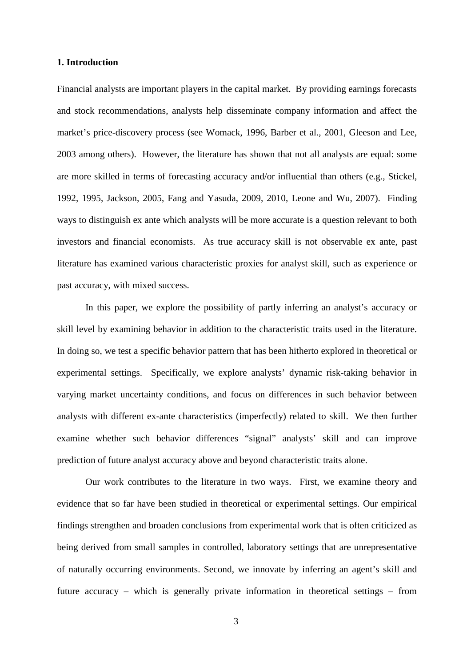#### **1. Introduction**

Financial analysts are important players in the capital market. By providing earnings forecasts and stock recommendations, analysts help disseminate company information and affect the market's price-discovery process (see Womack, 1996, Barber et al., 2001, Gleeson and Lee, 2003 among others). However, the literature has shown that not all analysts are equal: some are more skilled in terms of forecasting accuracy and/or influential than others (e.g., Stickel, 1992, 1995, Jackson, 2005, Fang and Yasuda, 2009, 2010, Leone and Wu, 2007). Finding ways to distinguish ex ante which analysts will be more accurate is a question relevant to both investors and financial economists. As true accuracy skill is not observable ex ante, past literature has examined various characteristic proxies for analyst skill, such as experience or past accuracy, with mixed success.

In this paper, we explore the possibility of partly inferring an analyst's accuracy or skill level by examining behavior in addition to the characteristic traits used in the literature. In doing so, we test a specific behavior pattern that has been hitherto explored in theoretical or experimental settings. Specifically, we explore analysts' dynamic risk-taking behavior in varying market uncertainty conditions, and focus on differences in such behavior between analysts with different ex-ante characteristics (imperfectly) related to skill. We then further examine whether such behavior differences "signal" analysts' skill and can improve prediction of future analyst accuracy above and beyond characteristic traits alone.

Our work contributes to the literature in two ways. First, we examine theory and evidence that so far have been studied in theoretical or experimental settings. Our empirical findings strengthen and broaden conclusions from experimental work that is often criticized as being derived from small samples in controlled, laboratory settings that are unrepresentative of naturally occurring environments. Second, we innovate by inferring an agent's skill and future accuracy – which is generally private information in theoretical settings – from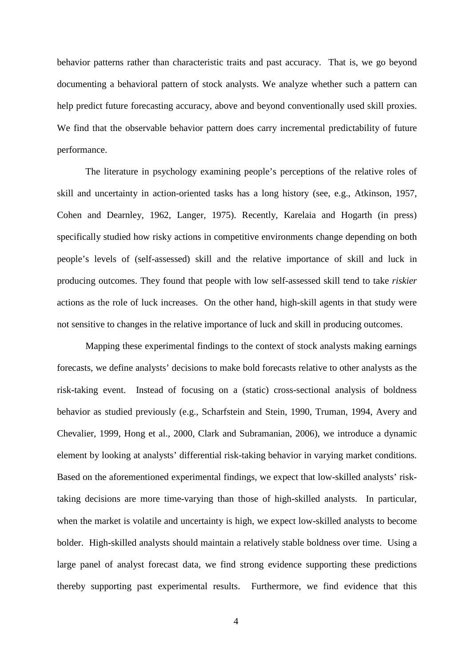behavior patterns rather than characteristic traits and past accuracy. That is, we go beyond documenting a behavioral pattern of stock analysts. We analyze whether such a pattern can help predict future forecasting accuracy, above and beyond conventionally used skill proxies. We find that the observable behavior pattern does carry incremental predictability of future performance.

The literature in psychology examining people's perceptions of the relative roles of skill and uncertainty in action-oriented tasks has a long history (see, e.g., Atkinson, 1957, Cohen and Dearnley, 1962, Langer, 1975). Recently, Karelaia and Hogarth (in press) specifically studied how risky actions in competitive environments change depending on both people's levels of (self-assessed) skill and the relative importance of skill and luck in producing outcomes. They found that people with low self-assessed skill tend to take *riskier* actions as the role of luck increases. On the other hand, high-skill agents in that study were not sensitive to changes in the relative importance of luck and skill in producing outcomes.

Mapping these experimental findings to the context of stock analysts making earnings forecasts, we define analysts' decisions to make bold forecasts relative to other analysts as the risk-taking event. Instead of focusing on a (static) cross-sectional analysis of boldness behavior as studied previously (e.g., Scharfstein and Stein, 1990, Truman, 1994, Avery and Chevalier, 1999, Hong et al., 2000, Clark and Subramanian, 2006), we introduce a dynamic element by looking at analysts' differential risk-taking behavior in varying market conditions. Based on the aforementioned experimental findings, we expect that low-skilled analysts' risktaking decisions are more time-varying than those of high-skilled analysts. In particular, when the market is volatile and uncertainty is high, we expect low-skilled analysts to become bolder. High-skilled analysts should maintain a relatively stable boldness over time. Using a large panel of analyst forecast data, we find strong evidence supporting these predictions thereby supporting past experimental results. Furthermore, we find evidence that this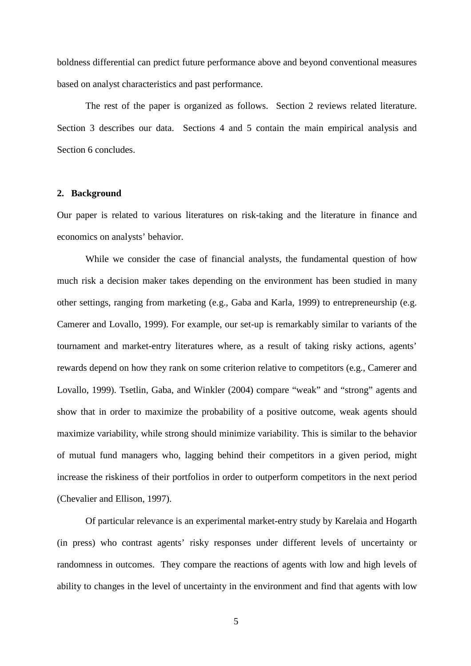boldness differential can predict future performance above and beyond conventional measures based on analyst characteristics and past performance.

The rest of the paper is organized as follows. Section 2 reviews related literature. Section 3 describes our data. Sections 4 and 5 contain the main empirical analysis and Section 6 concludes.

#### **2. Background**

Our paper is related to various literatures on risk-taking and the literature in finance and economics on analysts' behavior.

While we consider the case of financial analysts, the fundamental question of how much risk a decision maker takes depending on the environment has been studied in many other settings, ranging from marketing (e.g., Gaba and Karla, 1999) to entrepreneurship (e.g. Camerer and Lovallo, 1999). For example, our set-up is remarkably similar to variants of the tournament and market-entry literatures where, as a result of taking risky actions, agents' rewards depend on how they rank on some criterion relative to competitors (e.g., Camerer and Lovallo, 1999). Tsetlin, Gaba, and Winkler (2004) compare "weak" and "strong" agents and show that in order to maximize the probability of a positive outcome, weak agents should maximize variability, while strong should minimize variability. This is similar to the behavior of mutual fund managers who, lagging behind their competitors in a given period, might increase the riskiness of their portfolios in order to outperform competitors in the next period (Chevalier and Ellison, 1997).

Of particular relevance is an experimental market-entry study by Karelaia and Hogarth (in press) who contrast agents' risky responses under different levels of uncertainty or randomness in outcomes. They compare the reactions of agents with low and high levels of ability to changes in the level of uncertainty in the environment and find that agents with low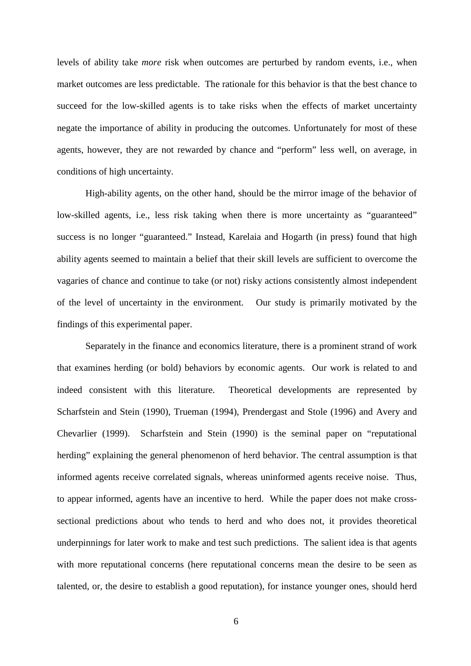levels of ability take *more* risk when outcomes are perturbed by random events, i.e., when market outcomes are less predictable. The rationale for this behavior is that the best chance to succeed for the low-skilled agents is to take risks when the effects of market uncertainty negate the importance of ability in producing the outcomes. Unfortunately for most of these agents, however, they are not rewarded by chance and "perform" less well, on average, in conditions of high uncertainty.

High-ability agents, on the other hand, should be the mirror image of the behavior of low-skilled agents, i.e., less risk taking when there is more uncertainty as "guaranteed" success is no longer "guaranteed." Instead, Karelaia and Hogarth (in press) found that high ability agents seemed to maintain a belief that their skill levels are sufficient to overcome the vagaries of chance and continue to take (or not) risky actions consistently almost independent of the level of uncertainty in the environment. Our study is primarily motivated by the findings of this experimental paper.

Separately in the finance and economics literature, there is a prominent strand of work that examines herding (or bold) behaviors by economic agents. Our work is related to and indeed consistent with this literature. Theoretical developments are represented by Scharfstein and Stein (1990), Trueman (1994), Prendergast and Stole (1996) and Avery and Chevarlier (1999). Scharfstein and Stein (1990) is the seminal paper on "reputational herding" explaining the general phenomenon of herd behavior. The central assumption is that informed agents receive correlated signals, whereas uninformed agents receive noise. Thus, to appear informed, agents have an incentive to herd. While the paper does not make crosssectional predictions about who tends to herd and who does not, it provides theoretical underpinnings for later work to make and test such predictions. The salient idea is that agents with more reputational concerns (here reputational concerns mean the desire to be seen as talented, or, the desire to establish a good reputation), for instance younger ones, should herd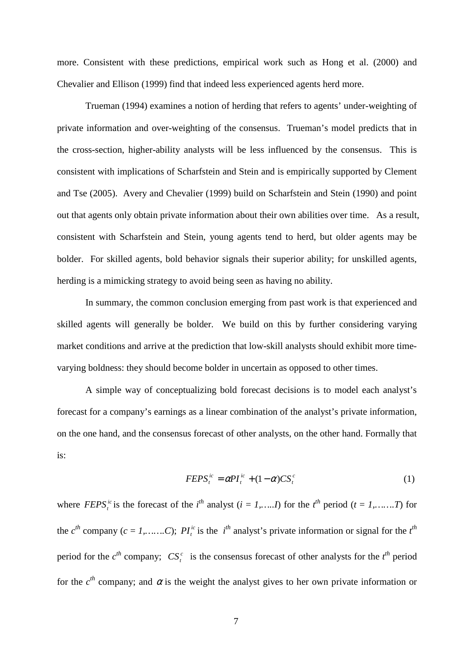more. Consistent with these predictions, empirical work such as Hong et al. (2000) and Chevalier and Ellison (1999) find that indeed less experienced agents herd more.

Trueman (1994) examines a notion of herding that refers to agents' under-weighting of private information and over-weighting of the consensus. Trueman's model predicts that in the cross-section, higher-ability analysts will be less influenced by the consensus. This is consistent with implications of Scharfstein and Stein and is empirically supported by Clement and Tse (2005). Avery and Chevalier (1999) build on Scharfstein and Stein (1990) and point out that agents only obtain private information about their own abilities over time. As a result, consistent with Scharfstein and Stein, young agents tend to herd, but older agents may be bolder. For skilled agents, bold behavior signals their superior ability; for unskilled agents, herding is a mimicking strategy to avoid being seen as having no ability.

In summary, the common conclusion emerging from past work is that experienced and skilled agents will generally be bolder. We build on this by further considering varying market conditions and arrive at the prediction that low-skill analysts should exhibit more timevarying boldness: they should become bolder in uncertain as opposed to other times.

A simple way of conceptualizing bold forecast decisions is to model each analyst's forecast for a company's earnings as a linear combination of the analyst's private information, on the one hand, and the consensus forecast of other analysts, on the other hand. Formally that is:

$$
FEPS_t^{ic} = \alpha P I_t^{ic} + (1 - \alpha) C S_t^c
$$
 (1)

where *FEPS*<sup>*ic*</sup> is the forecast of the *i*<sup>th</sup> analyst (*i* = *1*,……*I*) for the *i*<sup>th</sup> period (*t* = *1*,……*T*) for the  $c^{th}$  company ( $c = 1, \ldots, C$ );  $PI_t^i$  is the *i*<sup>th</sup> analyst's private information or signal for the *t*<sup>th</sup> period for the  $c^{th}$  company;  $CS_i^c$  is the consensus forecast of other analysts for the  $t^{th}$  period for the  $c^{th}$  company; and  $\alpha$  is the weight the analyst gives to her own private information or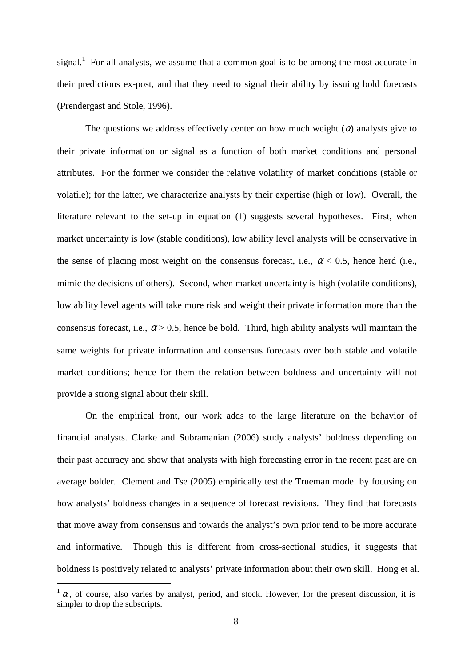signal.<sup>1</sup> For all analysts, we assume that a common goal is to be among the most accurate in their predictions ex-post, and that they need to signal their ability by issuing bold forecasts (Prendergast and Stole, 1996).

The questions we address effectively center on how much weight  $(\alpha)$  analysts give to their private information or signal as a function of both market conditions and personal attributes. For the former we consider the relative volatility of market conditions (stable or volatile); for the latter, we characterize analysts by their expertise (high or low). Overall, the literature relevant to the set-up in equation (1) suggests several hypotheses. First, when market uncertainty is low (stable conditions), low ability level analysts will be conservative in the sense of placing most weight on the consensus forecast, i.e.,  $\alpha$  < 0.5, hence herd (i.e., mimic the decisions of others). Second, when market uncertainty is high (volatile conditions), low ability level agents will take more risk and weight their private information more than the consensus forecast, i.e.,  $\alpha$  > 0.5, hence be bold. Third, high ability analysts will maintain the same weights for private information and consensus forecasts over both stable and volatile market conditions; hence for them the relation between boldness and uncertainty will not provide a strong signal about their skill.

On the empirical front, our work adds to the large literature on the behavior of financial analysts. Clarke and Subramanian (2006) study analysts' boldness depending on their past accuracy and show that analysts with high forecasting error in the recent past are on average bolder. Clement and Tse (2005) empirically test the Trueman model by focusing on how analysts' boldness changes in a sequence of forecast revisions. They find that forecasts that move away from consensus and towards the analyst's own prior tend to be more accurate and informative. Though this is different from cross-sectional studies, it suggests that boldness is positively related to analysts' private information about their own skill. Hong et al.

 $\overline{a}$ 

 $\alpha$ , of course, also varies by analyst, period, and stock. However, for the present discussion, it is simpler to drop the subscripts.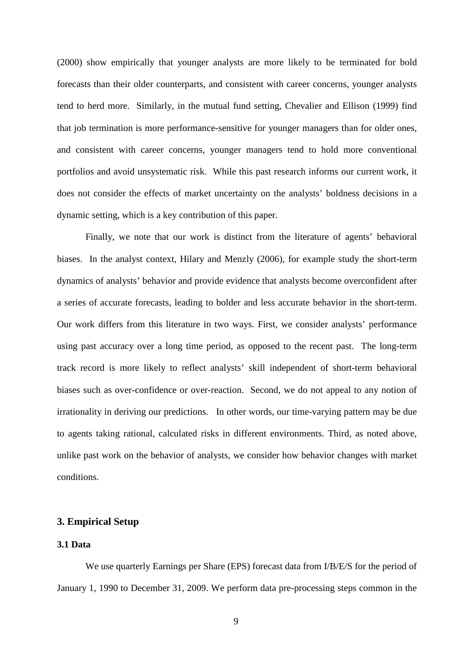(2000) show empirically that younger analysts are more likely to be terminated for bold forecasts than their older counterparts, and consistent with career concerns, younger analysts tend to herd more. Similarly, in the mutual fund setting, Chevalier and Ellison (1999) find that job termination is more performance-sensitive for younger managers than for older ones, and consistent with career concerns, younger managers tend to hold more conventional portfolios and avoid unsystematic risk. While this past research informs our current work, it does not consider the effects of market uncertainty on the analysts' boldness decisions in a dynamic setting, which is a key contribution of this paper.

Finally, we note that our work is distinct from the literature of agents' behavioral biases. In the analyst context, Hilary and Menzly (2006), for example study the short-term dynamics of analysts' behavior and provide evidence that analysts become overconfident after a series of accurate forecasts, leading to bolder and less accurate behavior in the short-term. Our work differs from this literature in two ways. First, we consider analysts' performance using past accuracy over a long time period, as opposed to the recent past. The long-term track record is more likely to reflect analysts' skill independent of short-term behavioral biases such as over-confidence or over-reaction. Second, we do not appeal to any notion of irrationality in deriving our predictions. In other words, our time-varying pattern may be due to agents taking rational, calculated risks in different environments. Third, as noted above, unlike past work on the behavior of analysts, we consider how behavior changes with market conditions.

#### **3. Empirical Setup**

## **3.1 Data**

We use quarterly Earnings per Share (EPS) forecast data from I/B/E/S for the period of January 1, 1990 to December 31, 2009. We perform data pre-processing steps common in the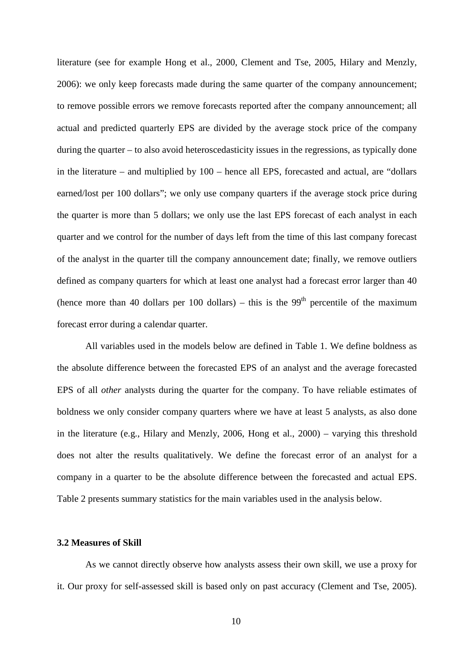literature (see for example Hong et al., 2000, Clement and Tse, 2005, Hilary and Menzly, 2006): we only keep forecasts made during the same quarter of the company announcement; to remove possible errors we remove forecasts reported after the company announcement; all actual and predicted quarterly EPS are divided by the average stock price of the company during the quarter – to also avoid heteroscedasticity issues in the regressions, as typically done in the literature – and multiplied by 100 – hence all EPS, forecasted and actual, are "dollars earned/lost per 100 dollars"; we only use company quarters if the average stock price during the quarter is more than 5 dollars; we only use the last EPS forecast of each analyst in each quarter and we control for the number of days left from the time of this last company forecast of the analyst in the quarter till the company announcement date; finally, we remove outliers defined as company quarters for which at least one analyst had a forecast error larger than 40 (hence more than 40 dollars per 100 dollars) – this is the  $99<sup>th</sup>$  percentile of the maximum forecast error during a calendar quarter.

All variables used in the models below are defined in Table 1. We define boldness as the absolute difference between the forecasted EPS of an analyst and the average forecasted EPS of all *other* analysts during the quarter for the company. To have reliable estimates of boldness we only consider company quarters where we have at least 5 analysts, as also done in the literature (e.g., Hilary and Menzly, 2006, Hong et al., 2000) – varying this threshold does not alter the results qualitatively. We define the forecast error of an analyst for a company in a quarter to be the absolute difference between the forecasted and actual EPS. Table 2 presents summary statistics for the main variables used in the analysis below.

### **3.2 Measures of Skill**

As we cannot directly observe how analysts assess their own skill, we use a proxy for it. Our proxy for self-assessed skill is based only on past accuracy (Clement and Tse, 2005).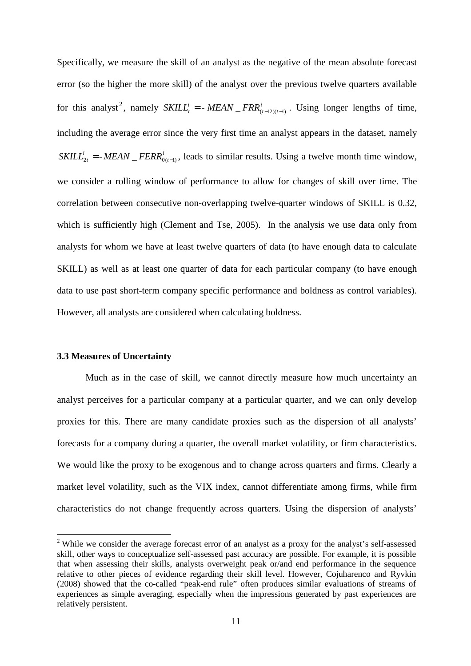Specifically, we measure the skill of an analyst as the negative of the mean absolute forecast error (so the higher the more skill) of the analyst over the previous twelve quarters available for this analyst<sup>2</sup>, namely  $SKILL<sub>t</sub><sup>i</sup>$ *SKILL*<sup>*i*</sup><sub>*t*</sub> = - *MEAN*  $\Gamma$ *FRR*<sup>*i*</sup><sub>*(t-12)(t-1)*</sub>. Using longer lengths of time, including the average error since the very first time an analyst appears in the dataset, namely  $i_{2t} =$ *SKILL*<sup>*i*</sup><sub>2*t*</sub> = *-MEAN*  $\mathsf{FERR}_{0(t-1)}^i$ , leads to similar results. Using a twelve month time window, we consider a rolling window of performance to allow for changes of skill over time. The correlation between consecutive non-overlapping twelve-quarter windows of SKILL is 0.32, which is sufficiently high (Clement and Tse, 2005). In the analysis we use data only from analysts for whom we have at least twelve quarters of data (to have enough data to calculate SKILL) as well as at least one quarter of data for each particular company (to have enough data to use past short-term company specific performance and boldness as control variables). However, all analysts are considered when calculating boldness.

#### **3.3 Measures of Uncertainty**

 $\overline{a}$ 

Much as in the case of skill, we cannot directly measure how much uncertainty an analyst perceives for a particular company at a particular quarter, and we can only develop proxies for this. There are many candidate proxies such as the dispersion of all analysts' forecasts for a company during a quarter, the overall market volatility, or firm characteristics. We would like the proxy to be exogenous and to change across quarters and firms. Clearly a market level volatility, such as the VIX index, cannot differentiate among firms, while firm characteristics do not change frequently across quarters. Using the dispersion of analysts'

<sup>&</sup>lt;sup>2</sup> While we consider the average forecast error of an analyst as a proxy for the analyst's self-assessed skill, other ways to conceptualize self-assessed past accuracy are possible. For example, it is possible that when assessing their skills, analysts overweight peak or/and end performance in the sequence relative to other pieces of evidence regarding their skill level. However, Cojuharenco and Ryvkin (2008) showed that the co-called "peak-end rule" often produces similar evaluations of streams of experiences as simple averaging, especially when the impressions generated by past experiences are relatively persistent.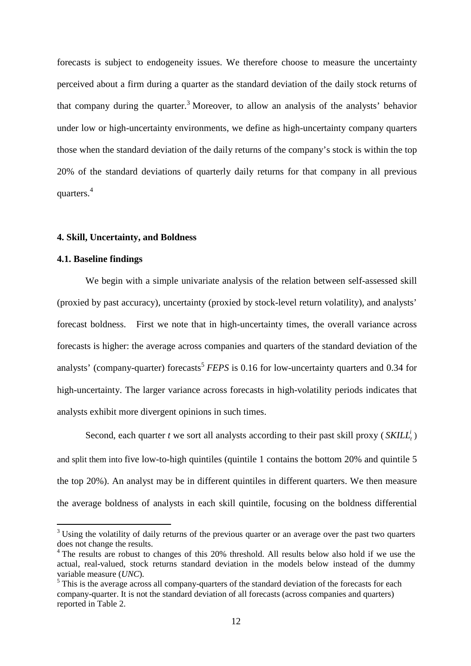forecasts is subject to endogeneity issues. We therefore choose to measure the uncertainty perceived about a firm during a quarter as the standard deviation of the daily stock returns of that company during the quarter.<sup>3</sup> Moreover, to allow an analysis of the analysts' behavior under low or high-uncertainty environments, we define as high-uncertainty company quarters those when the standard deviation of the daily returns of the company's stock is within the top 20% of the standard deviations of quarterly daily returns for that company in all previous quarters. $4$ 

#### **4. Skill, Uncertainty, and Boldness**

#### **4.1. Baseline findings**

 $\overline{a}$ 

We begin with a simple univariate analysis of the relation between self-assessed skill (proxied by past accuracy), uncertainty (proxied by stock-level return volatility), and analysts' forecast boldness. First we note that in high-uncertainty times, the overall variance across forecasts is higher: the average across companies and quarters of the standard deviation of the analysts' (company-quarter) forecasts<sup>5</sup> *FEPS* is 0.16 for low-uncertainty quarters and 0.34 for high-uncertainty. The larger variance across forecasts in high-volatility periods indicates that analysts exhibit more divergent opinions in such times.

Second, each quarter *t* we sort all analysts according to their past skill proxy (*SKILL*<sup>*i*</sup><sub>*t*</sub>) and split them into five low-to-high quintiles (quintile 1 contains the bottom 20% and quintile 5 the top 20%). An analyst may be in different quintiles in different quarters. We then measure the average boldness of analysts in each skill quintile, focusing on the boldness differential

 $3$  Using the volatility of daily returns of the previous quarter or an average over the past two quarters does not change the results.

<sup>&</sup>lt;sup>4</sup> The results are robust to changes of this 20% threshold. All results below also hold if we use the actual, real-valued, stock returns standard deviation in the models below instead of the dummy variable measure (*UNC*)*.* 

<sup>&</sup>lt;sup>5</sup> This is the average across all company-quarters of the standard deviation of the forecasts for each company-quarter. It is not the standard deviation of all forecasts (across companies and quarters) reported in Table 2.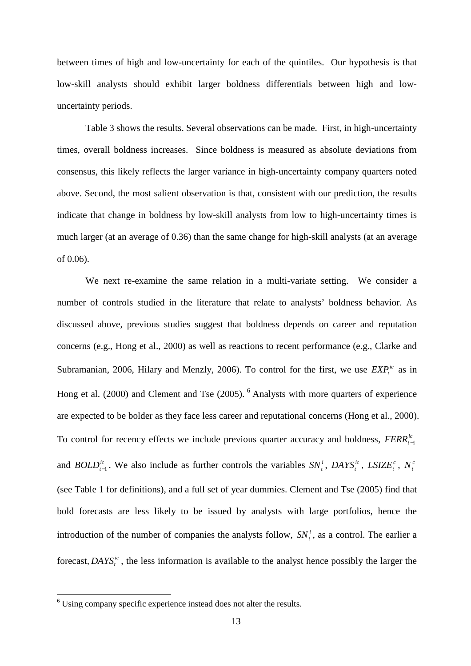between times of high and low-uncertainty for each of the quintiles. Our hypothesis is that low-skill analysts should exhibit larger boldness differentials between high and lowuncertainty periods.

Table 3 shows the results. Several observations can be made. First, in high-uncertainty times, overall boldness increases. Since boldness is measured as absolute deviations from consensus, this likely reflects the larger variance in high-uncertainty company quarters noted above. Second, the most salient observation is that, consistent with our prediction, the results indicate that change in boldness by low-skill analysts from low to high-uncertainty times is much larger (at an average of 0.36) than the same change for high-skill analysts (at an average of 0.06).

We next re-examine the same relation in a multi-variate setting. We consider a number of controls studied in the literature that relate to analysts' boldness behavior. As discussed above, previous studies suggest that boldness depends on career and reputation concerns (e.g., Hong et al., 2000) as well as reactions to recent performance (e.g., Clarke and Subramanian, 2006, Hilary and Menzly, 2006). To control for the first, we use  $EXP_t^{ic}$  as in Hong et al. (2000) and Clement and Tse (2005). <sup>6</sup> Analysts with more quarters of experience are expected to be bolder as they face less career and reputational concerns (Hong et al., 2000). To control for recency effects we include previous quarter accuracy and boldness, *FERR*<sup>*i*</sup><sub>*t*−1</sub> and *BOLD*<sup>*ic*</sup><sub>*t*-1</sub></sub>. We also include as further controls the variables  $SN_t^i$ ,  $DAYS_t^{ic}$ ,  $LSIZE_t^c$ ,  $N_t^c$ (see Table 1 for definitions), and a full set of year dummies. Clement and Tse (2005) find that bold forecasts are less likely to be issued by analysts with large portfolios, hence the introduction of the number of companies the analysts follow,  $SN_t^i$ , as a control. The earlier a forecast, *DAYS*<sup>*t*</sup>, the less information is available to the analyst hence possibly the larger the

 6 Using company specific experience instead does not alter the results.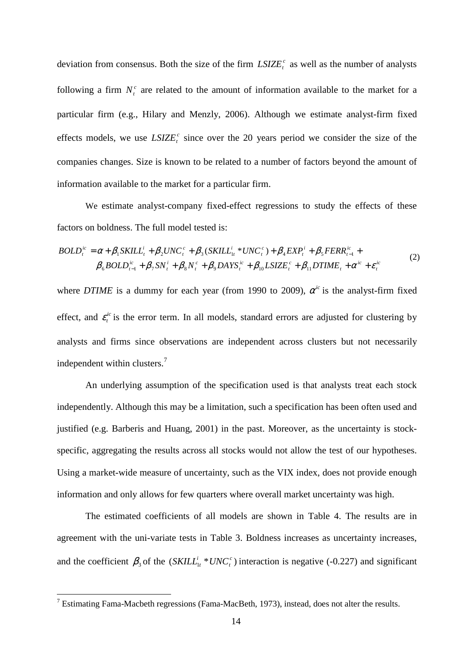deviation from consensus. Both the size of the firm  $LSIZE^c_t$  as well as the number of analysts following a firm  $N_t^c$  are related to the amount of information available to the market for a particular firm (e.g., Hilary and Menzly, 2006). Although we estimate analyst-firm fixed effects models, we use  $LSIZE^c_t$  since over the 20 years period we consider the size of the companies changes. Size is known to be related to a number of factors beyond the amount of information available to the market for a particular firm.

We estimate analyst-company fixed-effect regressions to study the effects of these factors on boldness. The full model tested is:

$$
BOLD_t^{ic} = \alpha + \beta_1 SKILL_t^i + \beta_2 UNC_t^c + \beta_3 (SKILL_{1t}^i * UNC_t^c) + \beta_4 EXP_t^i + \beta_5 FERR_{t-1}^{ic} + \n\beta_6 BOLD_{t-1}^{ic} + \beta_7 SN_t^i + \beta_8 N_t^c + \beta_9 DANS_t^{ic} + \beta_{10} LSIZE_t^c + \beta_{11} DTIME_t + \alpha^{ic} + \varepsilon_t^{ic}
$$
\n(2)

where *DTIME* is a dummy for each year (from 1990 to 2009),  $\alpha^{ic}$  is the analyst-firm fixed effect, and  $\varepsilon_t^{ic}$  is the error term. In all models, standard errors are adjusted for clustering by analysts and firms since observations are independent across clusters but not necessarily independent within clusters. $<sup>7</sup>$ </sup>

An underlying assumption of the specification used is that analysts treat each stock independently. Although this may be a limitation, such a specification has been often used and justified (e.g. Barberis and Huang, 2001) in the past. Moreover, as the uncertainty is stockspecific, aggregating the results across all stocks would not allow the test of our hypotheses. Using a market-wide measure of uncertainty, such as the VIX index, does not provide enough information and only allows for few quarters where overall market uncertainty was high.

The estimated coefficients of all models are shown in Table 4. The results are in agreement with the uni-variate tests in Table 3. Boldness increases as uncertainty increases, and the coefficient  $\beta_3$  of the  $(SKILL_{1t}^i * UNC_t^c)$ *c t SKILL*<sup>*i*</sup><sub>*i*</sub><sup> $*$ </sup>*UNC*<sup>*c*</sup><sub>*i*</sub><sup>*)*</sup> interaction is negative (-0.227) and significant

 $\overline{a}$ 

 $7$  Estimating Fama-Macbeth regressions (Fama-MacBeth, 1973), instead, does not alter the results.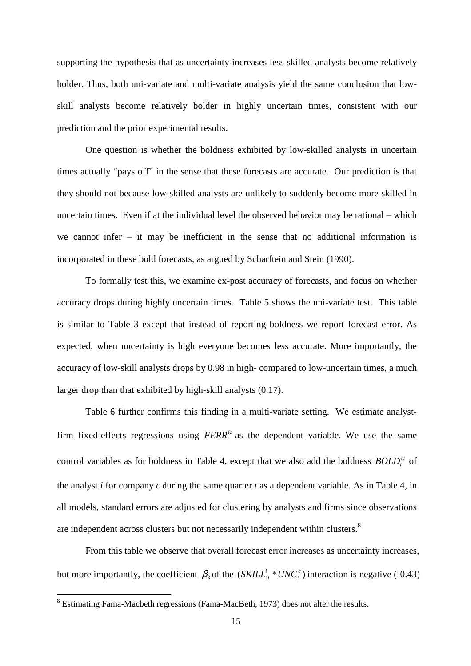supporting the hypothesis that as uncertainty increases less skilled analysts become relatively bolder. Thus, both uni-variate and multi-variate analysis yield the same conclusion that lowskill analysts become relatively bolder in highly uncertain times, consistent with our prediction and the prior experimental results.

One question is whether the boldness exhibited by low-skilled analysts in uncertain times actually "pays off" in the sense that these forecasts are accurate. Our prediction is that they should not because low-skilled analysts are unlikely to suddenly become more skilled in uncertain times. Even if at the individual level the observed behavior may be rational – which we cannot infer – it may be inefficient in the sense that no additional information is incorporated in these bold forecasts, as argued by Scharftein and Stein (1990).

To formally test this, we examine ex-post accuracy of forecasts, and focus on whether accuracy drops during highly uncertain times. Table 5 shows the uni-variate test. This table is similar to Table 3 except that instead of reporting boldness we report forecast error. As expected, when uncertainty is high everyone becomes less accurate. More importantly, the accuracy of low-skill analysts drops by 0.98 in high- compared to low-uncertain times, a much larger drop than that exhibited by high-skill analysts (0.17).

Table 6 further confirms this finding in a multi-variate setting. We estimate analystfirm fixed-effects regressions using  $FERR_t^k$  as the dependent variable. We use the same control variables as for boldness in Table 4, except that we also add the boldness  $BOLD<sup>ic</sup><sub>t</sub>$  of the analyst *i* for company *c* during the same quarter *t* as a dependent variable. As in Table 4, in all models, standard errors are adjusted for clustering by analysts and firms since observations are independent across clusters but not necessarily independent within clusters.<sup>8</sup>

From this table we observe that overall forecast error increases as uncertainty increases, but more importantly, the coefficient  $\beta_3$  of the  $(SKILL_{1t}^i * UNC_t^c)$ *c t SKILL*<sup>*i*</sup><sub>*t*</sub>  $*$  *UNC*<sup>*c*</sup></sup>) interaction is negative (-0.43)

 8 Estimating Fama-Macbeth regressions (Fama-MacBeth, 1973) does not alter the results.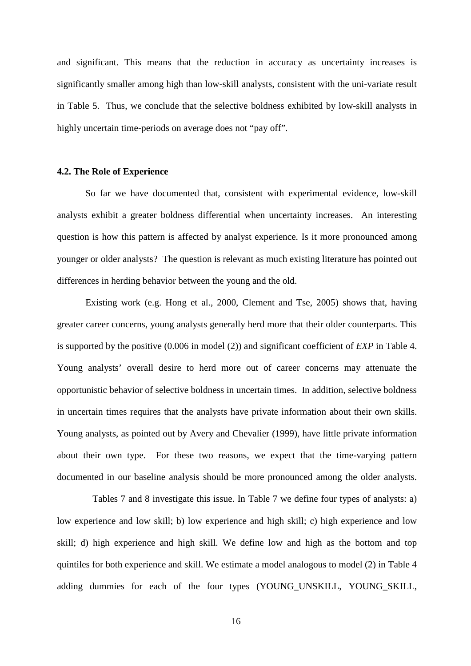and significant. This means that the reduction in accuracy as uncertainty increases is significantly smaller among high than low-skill analysts, consistent with the uni-variate result in Table 5. Thus, we conclude that the selective boldness exhibited by low-skill analysts in highly uncertain time-periods on average does not "pay off".

#### **4.2. The Role of Experience**

So far we have documented that, consistent with experimental evidence, low-skill analysts exhibit a greater boldness differential when uncertainty increases. An interesting question is how this pattern is affected by analyst experience. Is it more pronounced among younger or older analysts? The question is relevant as much existing literature has pointed out differences in herding behavior between the young and the old.

Existing work (e.g. Hong et al., 2000, Clement and Tse, 2005) shows that, having greater career concerns, young analysts generally herd more that their older counterparts. This is supported by the positive (0.006 in model (2)) and significant coefficient of *EXP* in Table 4. Young analysts' overall desire to herd more out of career concerns may attenuate the opportunistic behavior of selective boldness in uncertain times. In addition, selective boldness in uncertain times requires that the analysts have private information about their own skills. Young analysts, as pointed out by Avery and Chevalier (1999), have little private information about their own type. For these two reasons, we expect that the time-varying pattern documented in our baseline analysis should be more pronounced among the older analysts.

 Tables 7 and 8 investigate this issue. In Table 7 we define four types of analysts: a) low experience and low skill; b) low experience and high skill; c) high experience and low skill; d) high experience and high skill. We define low and high as the bottom and top quintiles for both experience and skill. We estimate a model analogous to model (2) in Table 4 adding dummies for each of the four types (YOUNG\_UNSKILL, YOUNG\_SKILL,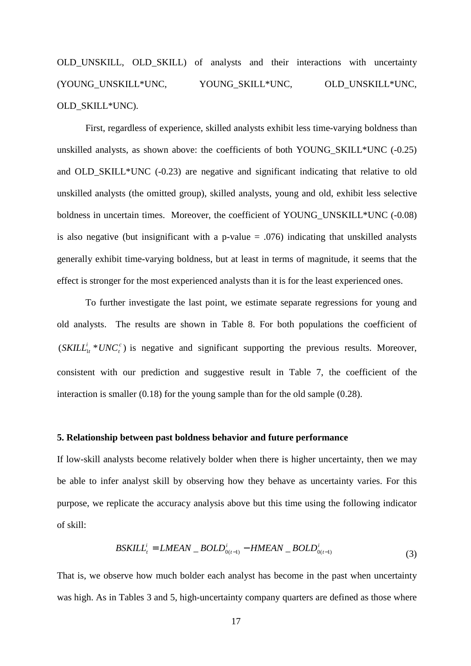# OLD UNSKILL, OLD SKILL) of analysts and their interactions with uncertainty (YOUNG\_UNSKILL\*UNC, YOUNG\_SKILL\*UNC, OLD\_UNSKILL\*UNC, OLD\_SKILL\*UNC).

First, regardless of experience, skilled analysts exhibit less time-varying boldness than unskilled analysts, as shown above: the coefficients of both YOUNG\_SKILL\*UNC (-0.25) and OLD SKILL\*UNC (-0.23) are negative and significant indicating that relative to old unskilled analysts (the omitted group), skilled analysts, young and old, exhibit less selective boldness in uncertain times. Moreover, the coefficient of YOUNG UNSKILL\*UNC (-0.08) is also negative (but insignificant with a p-value  $= .076$ ) indicating that unskilled analysts generally exhibit time-varying boldness, but at least in terms of magnitude, it seems that the effect is stronger for the most experienced analysts than it is for the least experienced ones.

To further investigate the last point, we estimate separate regressions for young and old analysts. The results are shown in Table 8. For both populations the coefficient of  $(SKILL_{1t}^i * UNC_t^c)$ *c t SKILL*<sup>*i*</sup><sub>*it*</sub> \**UNC*<sup>*c*</sup></sup>) is negative and significant supporting the previous results. Moreover, consistent with our prediction and suggestive result in Table 7, the coefficient of the interaction is smaller (0.18) for the young sample than for the old sample (0.28).

#### **5. Relationship between past boldness behavior and future performance**

If low-skill analysts become relatively bolder when there is higher uncertainty, then we may be able to infer analyst skill by observing how they behave as uncertainty varies. For this purpose, we replicate the accuracy analysis above but this time using the following indicator of skill:

$$
BSKILLti = LMEAN- BOLD0(t-1)i - HMEAN- BOLD0(t-1)i
$$
\n(3)

That is, we observe how much bolder each analyst has become in the past when uncertainty was high. As in Tables 3 and 5, high-uncertainty company quarters are defined as those where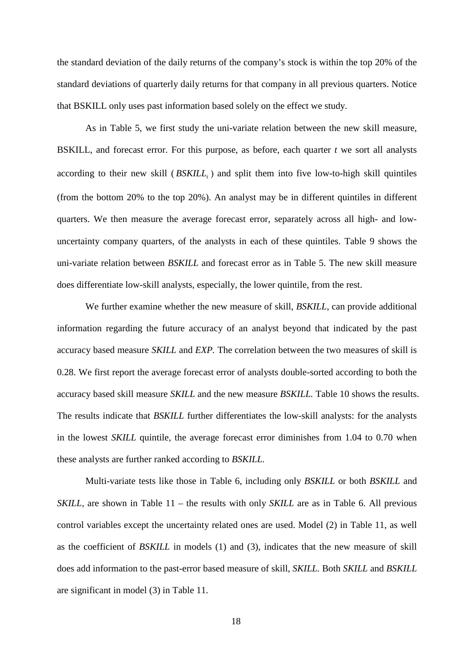the standard deviation of the daily returns of the company's stock is within the top 20% of the standard deviations of quarterly daily returns for that company in all previous quarters. Notice that BSKILL only uses past information based solely on the effect we study.

As in Table 5, we first study the uni-variate relation between the new skill measure, BSKILL, and forecast error. For this purpose, as before, each quarter *t* we sort all analysts according to their new skill ( *BSKILL<sup>t</sup>* ) and split them into five low-to-high skill quintiles (from the bottom 20% to the top 20%). An analyst may be in different quintiles in different quarters. We then measure the average forecast error, separately across all high- and lowuncertainty company quarters, of the analysts in each of these quintiles. Table 9 shows the uni-variate relation between *BSKILL* and forecast error as in Table 5. The new skill measure does differentiate low-skill analysts, especially, the lower quintile, from the rest.

We further examine whether the new measure of skill, *BSKILL,* can provide additional information regarding the future accuracy of an analyst beyond that indicated by the past accuracy based measure *SKILL* and *EXP.* The correlation between the two measures of skill is 0.28. We first report the average forecast error of analysts double-sorted according to both the accuracy based skill measure *SKILL* and the new measure *BSKILL.* Table 10 shows the results. The results indicate that *BSKILL* further differentiates the low-skill analysts: for the analysts in the lowest *SKILL* quintile, the average forecast error diminishes from 1.04 to 0.70 when these analysts are further ranked according to *BSKILL.* 

Multi-variate tests like those in Table 6, including only *BSKILL* or both *BSKILL* and *SKILL*, are shown in Table 11 – the results with only *SKILL* are as in Table 6. All previous control variables except the uncertainty related ones are used. Model (2) in Table 11, as well as the coefficient of *BSKILL* in models (1) and (3), indicates that the new measure of skill does add information to the past-error based measure of skill, *SKILL.* Both *SKILL* and *BSKILL* are significant in model (3) in Table 11.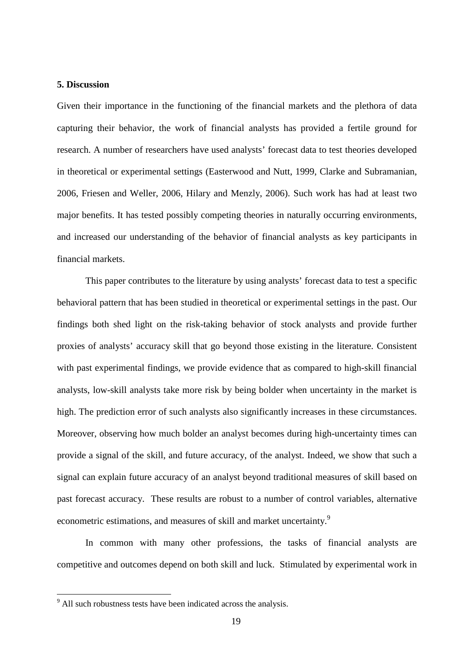#### **5. Discussion**

Given their importance in the functioning of the financial markets and the plethora of data capturing their behavior, the work of financial analysts has provided a fertile ground for research. A number of researchers have used analysts' forecast data to test theories developed in theoretical or experimental settings (Easterwood and Nutt, 1999, Clarke and Subramanian, 2006, Friesen and Weller, 2006, Hilary and Menzly, 2006). Such work has had at least two major benefits. It has tested possibly competing theories in naturally occurring environments, and increased our understanding of the behavior of financial analysts as key participants in financial markets.

This paper contributes to the literature by using analysts' forecast data to test a specific behavioral pattern that has been studied in theoretical or experimental settings in the past. Our findings both shed light on the risk-taking behavior of stock analysts and provide further proxies of analysts' accuracy skill that go beyond those existing in the literature. Consistent with past experimental findings, we provide evidence that as compared to high-skill financial analysts, low-skill analysts take more risk by being bolder when uncertainty in the market is high. The prediction error of such analysts also significantly increases in these circumstances. Moreover, observing how much bolder an analyst becomes during high-uncertainty times can provide a signal of the skill, and future accuracy, of the analyst. Indeed, we show that such a signal can explain future accuracy of an analyst beyond traditional measures of skill based on past forecast accuracy. These results are robust to a number of control variables, alternative econometric estimations, and measures of skill and market uncertainty.<sup>9</sup>

In common with many other professions, the tasks of financial analysts are competitive and outcomes depend on both skill and luck. Stimulated by experimental work in

<sup>&</sup>lt;sup>9</sup> All such robustness tests have been indicated across the analysis.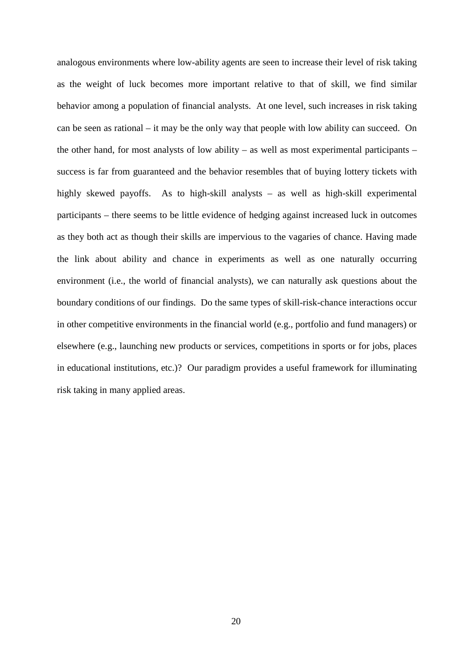analogous environments where low-ability agents are seen to increase their level of risk taking as the weight of luck becomes more important relative to that of skill, we find similar behavior among a population of financial analysts. At one level, such increases in risk taking can be seen as rational – it may be the only way that people with low ability can succeed. On the other hand, for most analysts of low ability – as well as most experimental participants – success is far from guaranteed and the behavior resembles that of buying lottery tickets with highly skewed payoffs. As to high-skill analysts – as well as high-skill experimental participants – there seems to be little evidence of hedging against increased luck in outcomes as they both act as though their skills are impervious to the vagaries of chance. Having made the link about ability and chance in experiments as well as one naturally occurring environment (i.e., the world of financial analysts), we can naturally ask questions about the boundary conditions of our findings. Do the same types of skill-risk-chance interactions occur in other competitive environments in the financial world (e.g., portfolio and fund managers) or elsewhere (e.g., launching new products or services, competitions in sports or for jobs, places in educational institutions, etc.)? Our paradigm provides a useful framework for illuminating risk taking in many applied areas.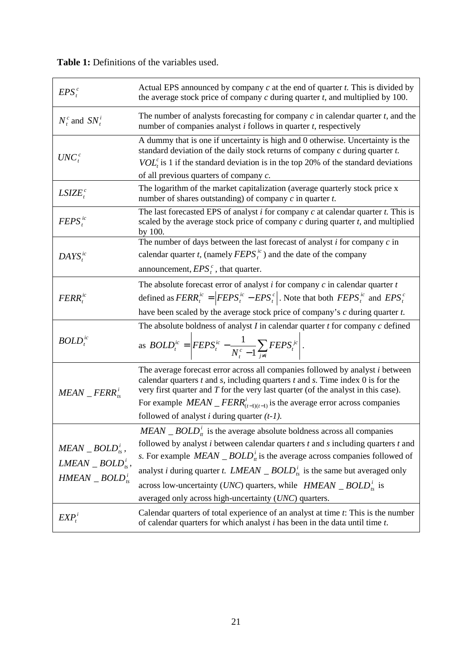$EPS<sup>c</sup>$ Actual EPS announced by company *c* at the end of quarter *t.* This is divided by the average stock price of company *c* during quarter *t,* and multiplied by 100.  $N_t^c$  and  $SN_t^i$ The number of analysts forecasting for company *c* in calendar quarter *t,* and the number of companies analyst *i* follows in quarter *t*, respectively  $UNC^c_t$ A dummy that is one if uncertainty is high and 0 otherwise. Uncertainty is the standard deviation of the daily stock returns of company *c* during quarter *t. VOL*<sup> $c$ </sup><sub>*t*</sub> is 1 if the standard deviation is in the top 20% of the standard deviations of all previous quarters of company *c.*   $LSIZE_t^c$ The logarithm of the market capitalization (average quarterly stock price x number of shares outstanding) of company *c* in quarter *t.*   $FEPS<sup>ic</sup>$ The last forecasted EPS of analyst *i* for company *c* at calendar quarter *t.* This is scaled by the average stock price of company *c* during quarter *t,* and multiplied by 100*.*   $DAYS<sup>ic</sup>$ The number of days between the last forecast of analyst *i* for company *c* in calendar quarter *t*, (namely  $FEPS_t^i$ ) and the date of the company announcement,  $EPS_t^c$ , that quarter. *ic FERR<sup>t</sup>* The absolute forecast error of analyst *i* for company *c* in calendar quarter *t*  defined as  $FERR_t^{ic} = |FEPS_t^{ic} - EPS_t^{c}$ *ic*  $FERR_t^{ic} = |FEPS_t^{ic} - EPS_t^{c}|$ . Note that both  $FEPS_t^{ic}$  and  $EPS_t^{c}$ have been scaled by the average stock price of company's *c* during quarter *t.*  $BOLD<sup>ic</sup>$ The absolute boldness of analyst *I* in calendar quarter *t* for company *c* defined as  $BOLD_t^{ic} = \left| FEPS_t^{ic} - \frac{1}{N_t^c - 1} \sum_{j \neq i} \right|$ *j i jc*  $c \neq \bot$ <sup>t</sup>  $\cup$ <sup>t</sup> *t ic t*  $\frac{1}{t}$ <sup>*ic*</sup>  $=$ </sup> $\left| FEPS_t^{ic} - \frac{1}{N_t^c - 1} \sum_{i \neq i} FEPS_t \right|$  $BOLD_t^{ic} = |FEPS$ 1  $\frac{1}{\sqrt{E}}\sum_{t} F E P S_t^{j c}$ . *<sup>i</sup> MEAN* \_ *FERRts* The average forecast error across all companies followed by analyst *i* between calendar quarters *t* and *s,* including quarters *t* and *s.* Time index 0 is for the very first quarter and *T* for the very last quarter (of the analyst in this case). For example  $MEAN$   $_FERR^i_{(t-1)(t-1)}$  is the average error across companies followed of analyst *i* during quarter *(t-1).*   $MEAN$   $\_BOLD^i_{ts}$ ,  $\emph{LMEAN}$   $\_$   $BOLD^i_{ts}$ *<sup>i</sup> HMEAN* \_ *BOLDts*  $MEAN$   $BOLD<sup>i</sup><sub>t</sub>$  is the average absolute boldness across all companies followed by analyst *i* between calendar quarters *t* and *s* including quarters *t* and *s*. For example *MEAN*  $\Delta BOLD_t^i$  is the average across companies followed of analyst *i* during quarter *t.*  $LMEAN \_ BOLD^i$  is the same but averaged only across low-uncertainty (*UNC*) quarters, while  $HMEAN$  \_ *BOLD*<sup>*i*</sup></sup><sub>*is*</sub> is averaged only across high-uncertainty (*UNC*) quarters.  $EXP<sup>i</sup>$ Calendar quarters of total experience of an analyst at time *t*: This is the number of calendar quarters for which analyst *i* has been in the data until time *t*.

**Table 1:** Definitions of the variables used.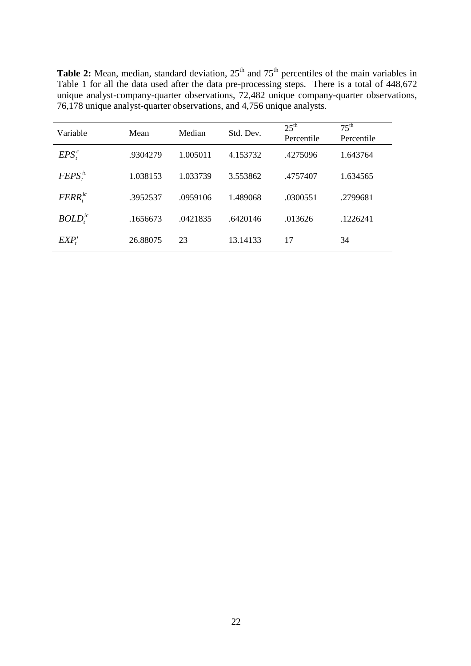**Table 2:** Mean, median, standard deviation, 25<sup>th</sup> and 75<sup>th</sup> percentiles of the main variables in Table 1 for all the data used after the data pre-processing steps. There is a total of 448,672 unique analyst-company-quarter observations, 72,482 unique company-quarter observations, 76,178 unique analyst-quarter observations, and 4,756 unique analysts.

| Variable                        | Mean     | Median   | Std. Dev. | $25^{\text{th}}$<br>Percentile | $75^{\text{th}}$<br>Percentile |
|---------------------------------|----------|----------|-----------|--------------------------------|--------------------------------|
| $EPS_t^c$                       | .9304279 | 1.005011 | 4.153732  | .4275096                       | 1.643764                       |
| $FEPS_t^{ic}$                   | 1.038153 | 1.033739 | 3.553862  | .4757407                       | 1.634565                       |
| $FERR_t^{ic}$                   | .3952537 | .0959106 | 1.489068  | .0300551                       | .2799681                       |
| BOLD <sub>i</sub> <sup>ic</sup> | .1656673 | .0421835 | .6420146  | .013626                        | .1226241                       |
| EXP <sub>i</sub> <sup>i</sup>   | 26.88075 | 23       | 13.14133  | 17                             | 34                             |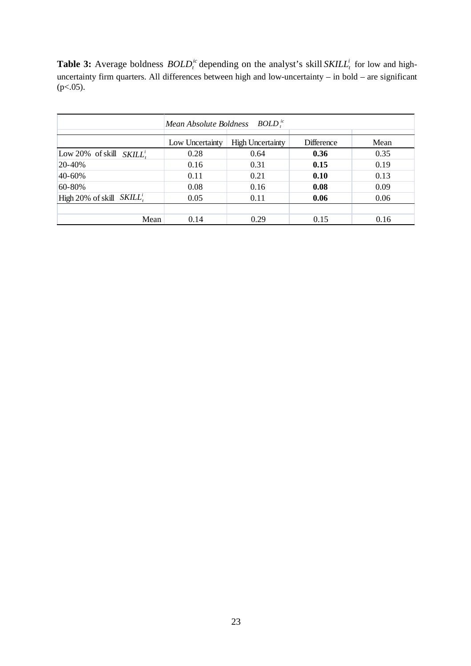**Table 3:** Average boldness  $BOLD_t^i$  depending on the analyst's skill  $SKILL_t^i$  for low and highuncertainty firm quarters. All differences between high and low-uncertainty – in bold – are significant  $(p<.05)$ .

|                               | $BOLD$ <sup>ic</sup><br>Mean Absolute Boldness |                         |                   |      |  |
|-------------------------------|------------------------------------------------|-------------------------|-------------------|------|--|
|                               | Low Uncertainty                                | <b>High Uncertainty</b> | <b>Difference</b> | Mean |  |
| Low 20% of skill $SKILL^i$ .  | 0.28                                           | 0.64                    | 0.36              | 0.35 |  |
| 20-40%                        | 0.16                                           | 0.31                    | 0.15              | 0.19 |  |
| 40-60%                        | 0.11                                           | 0.21                    | 0.10              | 0.13 |  |
| 60-80%                        | 0.08                                           | 0.16                    | 0.08              | 0.09 |  |
| High 20% of skill $SKILL_t^i$ | 0.05                                           | 0.11                    | 0.06              | 0.06 |  |
|                               |                                                |                         |                   |      |  |
| Mean                          | 0.14                                           | 0.29                    | 0.15              | 0.16 |  |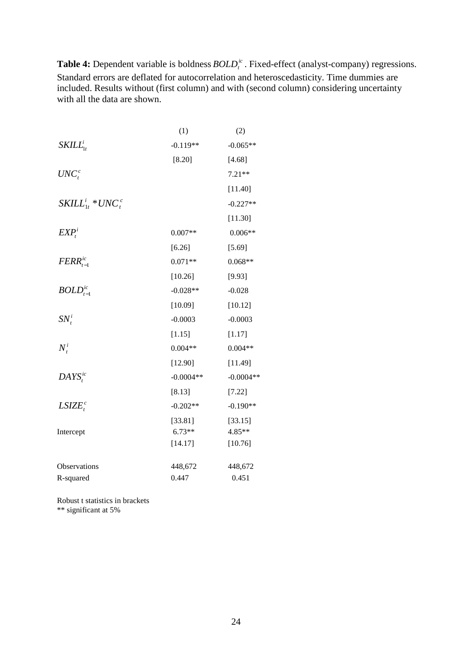**Table 4:** Dependent variable is boldness  $BOLD_t^{ic}$ . Fixed-effect (analyst-company) regressions. Standard errors are deflated for autocorrelation and heteroscedasticity. Time dummies are included. Results without (first column) and with (second column) considering uncertainty with all the data are shown.

|                               | (1)         | (2)         |
|-------------------------------|-------------|-------------|
| $SKILL_{1t}^i$                | $-0.119**$  | $-0.065**$  |
|                               | [8.20]      | [4.68]      |
| $UNC_t^c$                     |             | $7.21**$    |
|                               |             | [11.40]     |
| $SKILL_{1t}^i * UNC_t^c$      |             | $-0.227**$  |
|                               |             | [11.30]     |
| EXP <sub>t</sub> <sup>i</sup> | $0.007**$   | $0.006**$   |
|                               | [6.26]      | [5.69]      |
| $FERR_{t-1}^{ic}$             | $0.071**$   | $0.068**$   |
|                               | [10.26]     | [9.93]      |
| $BOLD^{ic}_{t-1}$             | $-0.028**$  | $-0.028$    |
|                               | [10.09]     | [10.12]     |
| $SN_t^i$                      | $-0.0003$   | $-0.0003$   |
|                               | [1.15]      | [1.17]      |
| $N_t^i$                       | $0.004**$   | $0.004**$   |
|                               | [12.90]     | [11.49]     |
| $DAYS_t^{ic}$                 | $-0.0004**$ | $-0.0004**$ |
|                               | [8.13]      | [7.22]      |
| $LSIZE^c_t$                   | $-0.202**$  | $-0.190**$  |
|                               | [33.81]     | [33.15]     |
| Intercept                     | $6.73**$    | 4.85**      |
|                               | [14.17]     | [10.76]     |
| Observations                  | 448,672     | 448,672     |
|                               | 0.447       | 0.451       |
| R-squared                     |             |             |

Robust t statistics in brackets \*\* significant at 5%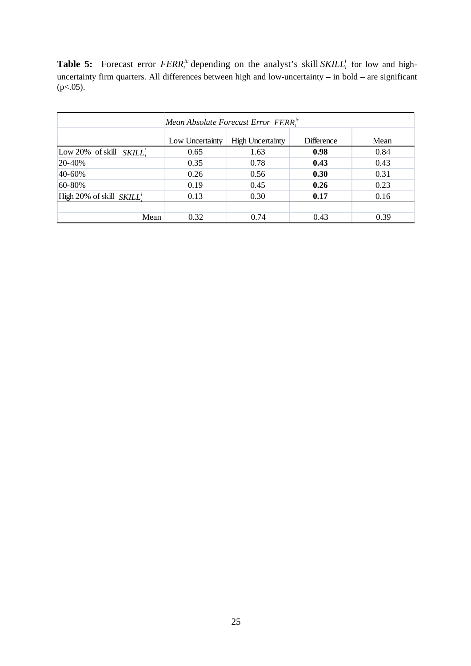**Table 5:** Forecast error  $FERR_t^i$  depending on the analyst's skill  $SKILL_t^i$  for low and highuncertainty firm quarters. All differences between high and low-uncertainty – in bold – are significant  $(p<.05)$ .

|                              | Mean Absolute Forecast Error FERR <sup>ic</sup> |                         |                   |      |  |
|------------------------------|-------------------------------------------------|-------------------------|-------------------|------|--|
|                              | Low Uncertainty                                 | <b>High Uncertainty</b> | <b>Difference</b> | Mean |  |
| Low 20% of skill $SKILL^i$ . | 0.65                                            | 1.63                    | 0.98              | 0.84 |  |
| 20-40%                       | 0.35                                            | 0.78                    | 0.43              | 0.43 |  |
| 40-60%                       | 0.26                                            | 0.56                    | 0.30              | 0.31 |  |
| 60-80%                       | 0.19                                            | 0.45                    | 0.26              | 0.23 |  |
| High 20% of skill $SKILLi$ . | 0.13                                            | 0.30                    | 0.17              | 0.16 |  |
|                              |                                                 |                         |                   |      |  |
| Mean                         | 0.32                                            | 0.74                    | 0.43              | 0.39 |  |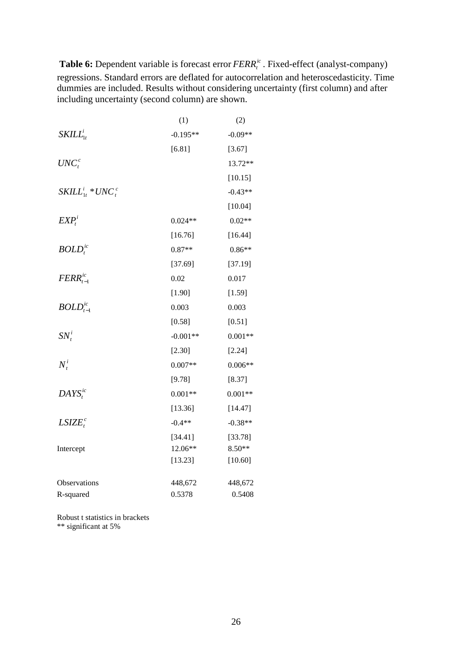**Table 6:** Dependent variable is forecast error  $FERR_t^i$ . Fixed-effect (analyst-company) regressions. Standard errors are deflated for autocorrelation and heteroscedasticity. Time dummies are included. Results without considering uncertainty (first column) and after including uncertainty (second column) are shown.

|                               | (1)        | (2)       |
|-------------------------------|------------|-----------|
| $SKILL_{1t}^i$                | $-0.195**$ | $-0.09**$ |
|                               | [6.81]     | [3.67]    |
| $UNC^c_t$                     |            | 13.72**   |
|                               |            | [10.15]   |
| $SKILL_{1t}^i * UNC_t^c$      |            | $-0.43**$ |
|                               |            | [10.04]   |
| EXP <sub>t</sub> <sup>i</sup> | $0.024**$  | $0.02**$  |
|                               | [16.76]    | [16.44]   |
| $BOLD_t^{ic}$                 | $0.87**$   | $0.86**$  |
|                               | [37.69]    | [37.19]   |
| $FERR_{t-1}^{ic}$             | $0.02\,$   | 0.017     |
|                               | [1.90]     | [1.59]    |
| $BOLD^{ic}_{t-1}$             | 0.003      | 0.003     |
|                               | [0.58]     | [0.51]    |
| $SN_t^i$                      | $-0.001**$ | $0.001**$ |
|                               | [2.30]     | [2.24]    |
| $N_t^i$                       | $0.007**$  | $0.006**$ |
|                               | [9.78]     | [8.37]    |
| $DAYS_t^{ic}$                 | $0.001**$  | $0.001**$ |
|                               | [13.36]    | [14.47]   |
| $LSIZE^c_t$                   | $-0.4**$   | $-0.38**$ |
|                               | [34.41]    | [33.78]   |
| Intercept                     | 12.06**    | $8.50**$  |
|                               | [13.23]    | [10.60]   |
| Observations                  | 448,672    | 448,672   |
| R-squared                     | 0.5378     | 0.5408    |

Robust t statistics in brackets \*\* significant at 5%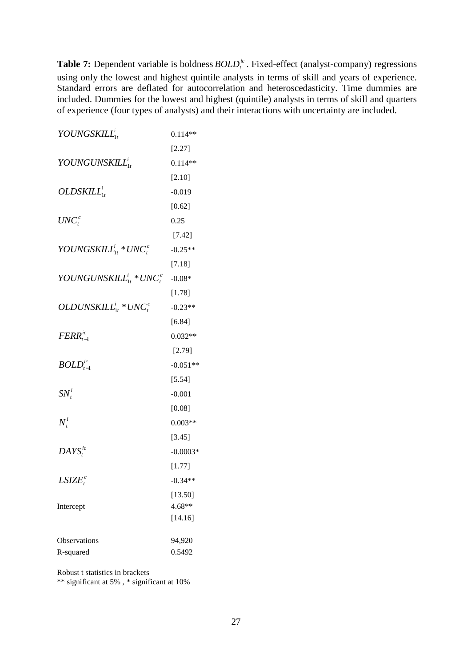**Table 7:** Dependent variable is boldness  $BOLD<sup>i</sup><sub>t</sub>$ . Fixed-effect (analyst-company) regressions using only the lowest and highest quintile analysts in terms of skill and years of experience. Standard errors are deflated for autocorrelation and heteroscedasticity. Time dummies are included. Dummies for the lowest and highest (quintile) analysts in terms of skill and quarters of experience (four types of analysts) and their interactions with uncertainty are included.

| $YOUNGSKILL_{1t}^i$                                     | $0.114**$  |
|---------------------------------------------------------|------------|
|                                                         | [2.27]     |
| YOUNGUNSKILL $L_{1t}^{i}$                               | $0.114**$  |
|                                                         | [2.10]     |
| $OLDSKILL^i_{1t}$                                       | $-0.019$   |
|                                                         | [0.62]     |
| $UNC^c_t$                                               | 0.25       |
|                                                         | [7.42]     |
| YOUNGSKILL $L_{1t}^{i}$ * UNC <sub>t</sub>              | $-0.25**$  |
|                                                         | $[7.18]$   |
| YOUNGUNSKILL $L_{1t}^i * UNC_t^c$                       | $-0.08*$   |
|                                                         | [1.78]     |
| <i>OLDUNSKILL</i> <sup>i</sup> <sub>t</sub> * $UNC_t^c$ | $-0.23**$  |
|                                                         | [6.84]     |
| $FERR_{t-1}^{ic}$                                       | $0.032**$  |
|                                                         | [2.79]     |
| $BOLD^{ic}_{t-1}$                                       | $-0.051**$ |
|                                                         | [5.54]     |
| $SN_t^i$                                                | $-0.001$   |
|                                                         | [0.08]     |
| $N_t^i$                                                 | $0.003**$  |
|                                                         | [3.45]     |
| $DAYS_t^{ic}$                                           | $-0.0003*$ |
|                                                         | [1.77]     |
| $LSIZE^c_t$                                             | $-0.34**$  |
|                                                         | [13.50]    |
| Intercept                                               | 4.68**     |
|                                                         | [14.16]    |
| Observations                                            | 94,920     |
| R-squared                                               | 0.5492     |

Robust t statistics in brackets

\*\* significant at 5% , \* significant at 10%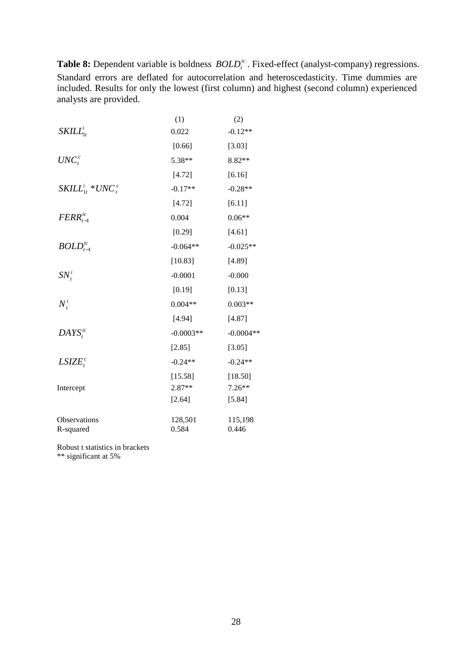**Table 8:** Dependent variable is boldness  $BOLD_t^i$ . Fixed-effect (analyst-company) regressions. Standard errors are deflated for autocorrelation and heteroscedasticity. Time dummies are included. Results for only the lowest (first column) and highest (second column) experienced analysts are provided.

|                          | (1)         | (2)         |
|--------------------------|-------------|-------------|
| $SKILL_{1t}^i$           | 0.022       | $-0.12**$   |
|                          | [0.66]      | [3.03]      |
| $UNC_t^c$                | 5.38**      | 8.82**      |
|                          | [4.72]      | [6.16]      |
| $SKILL_{1t}^i * UNC_t^c$ | $-0.17**$   | $-0.28**$   |
|                          | [4.72]      | $[6.11]$    |
| $FERR_{t-1}^{ic}$        | 0.004       | $0.06**$    |
|                          | [0.29]      | [4.61]      |
| $BOLD^{ic}_{t-1}$        | $-0.064**$  | $-0.025**$  |
|                          | [10.83]     | [4.89]      |
| $SN_t^i$                 | $-0.0001$   | $-0.000$    |
|                          | [0.19]      | [0.13]      |
| $N_t^i$                  | $0.004**$   | $0.003**$   |
|                          | [4.94]      | [4.87]      |
| $DAYS_i^{ic}$            | $-0.0003**$ | $-0.0004**$ |
|                          | [2.85]      | [3.05]      |
| $LSIZE^c_t$              | $-0.24**$   | $-0.24**$   |
|                          | [15.58]     | [18.50]     |
| Intercept                | 2.87**      | $7.26**$    |
|                          | [2.64]      | [5.84]      |
| Observations             | 128,501     | 115,198     |
| R-squared                | 0.584       | 0.446       |
|                          |             |             |

Robust t statistics in brackets

\*\* significant at 5%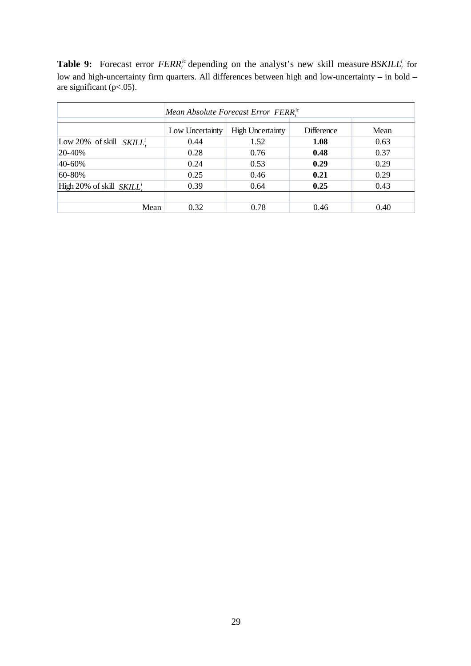**Table 9:** Forecast error  $FERR_t^i$  depending on the analyst's new skill measure  $BSKILL_t^i$  for low and high-uncertainty firm quarters. All differences between high and low-uncertainty – in bold – are significant ( $p<.05$ ).

|                               | Mean Absolute Forecast Error FERR <sup>ic</sup> |                         |                   |      |  |
|-------------------------------|-------------------------------------------------|-------------------------|-------------------|------|--|
|                               | Low Uncertainty                                 | <b>High Uncertainty</b> | <b>Difference</b> | Mean |  |
| Low 20% of skill $SKILL^i$ .  | 0.44                                            | 1.52                    | 1.08              | 0.63 |  |
| 20-40%                        | 0.28                                            | 0.76                    | 0.48              | 0.37 |  |
| 40-60%                        | 0.24                                            | 0.53                    | 0.29              | 0.29 |  |
| 60-80%                        | 0.25                                            | 0.46                    | 0.21              | 0.29 |  |
| High 20% of skill $SKILL^i$ . | 0.39                                            | 0.64                    | 0.25              | 0.43 |  |
|                               |                                                 |                         |                   |      |  |
| Mean                          | 0.32                                            | 0.78                    | 0.46              | 0.40 |  |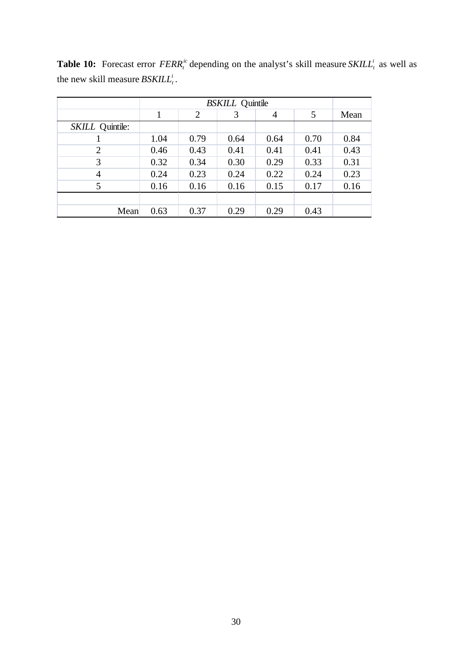|                 | <b>BSKILL</b> Quintile |                |      |      |      |      |
|-----------------|------------------------|----------------|------|------|------|------|
|                 | 1                      | $\overline{2}$ | 3    | 4    | 5    | Mean |
| SKILL Quintile: |                        |                |      |      |      |      |
|                 | 1.04                   | 0.79           | 0.64 | 0.64 | 0.70 | 0.84 |
| 2               | 0.46                   | 0.43           | 0.41 | 0.41 | 0.41 | 0.43 |
| 3               | 0.32                   | 0.34           | 0.30 | 0.29 | 0.33 | 0.31 |
| 4               | 0.24                   | 0.23           | 0.24 | 0.22 | 0.24 | 0.23 |
| 5               | 0.16                   | 0.16           | 0.16 | 0.15 | 0.17 | 0.16 |
|                 |                        |                |      |      |      |      |
| Mean            | 0.63                   | 0.37           | 0.29 | 0.29 | 0.43 |      |

**Table 10:** Forecast error  $FERR_t^i$  depending on the analyst's skill measure  $SKILL_t^i$  as well as the new skill measure  $BSKILL_t^i$ .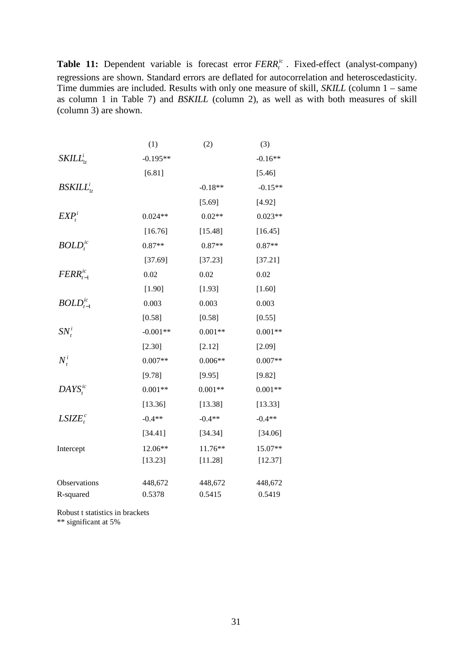**Table 11:** Dependent variable is forecast error  $FERR_t^i$ . Fixed-effect (analyst-company) regressions are shown. Standard errors are deflated for autocorrelation and heteroscedasticity. Time dummies are included. Results with only one measure of skill, *SKILL* (column 1 – same as column 1 in Table 7) and *BSKILL* (column 2), as well as with both measures of skill (column 3) are shown.

|                                   | (1)        | (2)       | (3)       |
|-----------------------------------|------------|-----------|-----------|
| $SKILL_{1t}^i$                    | $-0.195**$ |           | $-0.16**$ |
|                                   | [6.81]     |           | [5.46]    |
| BSKILL <sup>i</sup> <sub>1t</sub> |            | $-0.18**$ | $-0.15**$ |
|                                   |            | [5.69]    | [4.92]    |
| EXP <sub>t</sub> <sup>i</sup>     | $0.024**$  | $0.02**$  | $0.023**$ |
|                                   | [16.76]    | [15.48]   | [16.45]   |
| $BOLD_t^{ic}$                     | $0.87**$   | $0.87**$  | $0.87**$  |
|                                   | [37.69]    | [37.23]   | [37.21]   |
| $FERR_{t-1}^{ic}$                 | 0.02       | 0.02      | 0.02      |
|                                   | [1.90]     | [1.93]    | [1.60]    |
| $BOLD^{ic}_{t-1}$                 | 0.003      | 0.003     | 0.003     |
|                                   | [0.58]     | [0.58]    | [0.55]    |
| $SN_t^i$                          | $-0.001**$ | $0.001**$ | $0.001**$ |
|                                   | [2.30]     | [2.12]    | [2.09]    |
| $N_t^i$                           | $0.007**$  | $0.006**$ | $0.007**$ |
|                                   | [9.78]     | [9.95]    | [9.82]    |
| $DAYS_t^{ic}$                     | $0.001**$  | $0.001**$ | $0.001**$ |
|                                   | [13.36]    | [13.38]   | [13.33]   |
| $LSIZE^c_t$                       | $-0.4**$   | $-0.4**$  | $-0.4**$  |
|                                   | [34.41]    | [34.34]   | [34.06]   |
| Intercept                         | 12.06**    | 11.76**   | 15.07**   |
|                                   | [13.23]    | [11.28]   | [12.37]   |
| Observations                      | 448,672    | 448,672   | 448,672   |
| R-squared                         | 0.5378     | 0.5415    | 0.5419    |

Robust t statistics in brackets \*\* significant at 5%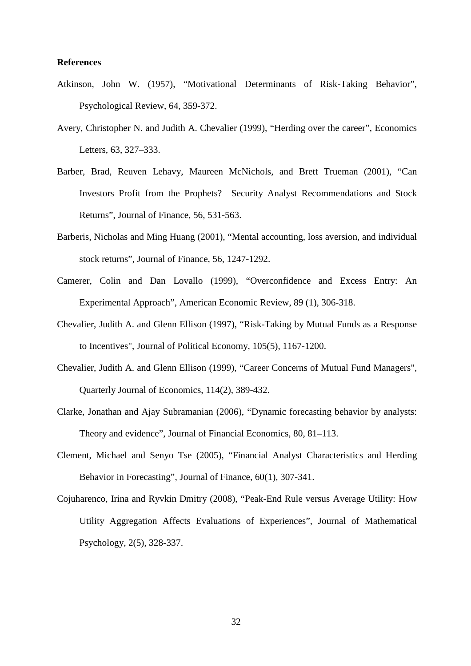#### **References**

- Atkinson, John W. (1957), "Motivational Determinants of Risk-Taking Behavior", Psychological Review, 64, 359-372.
- Avery, Christopher N. and Judith A. Chevalier (1999), "Herding over the career", Economics Letters, 63, 327–333.
- Barber, Brad, Reuven Lehavy, Maureen McNichols, and Brett Trueman (2001), "Can Investors Profit from the Prophets? Security Analyst Recommendations and Stock Returns", Journal of Finance, 56, 531-563.
- Barberis, Nicholas and Ming Huang (2001), "Mental accounting, loss aversion, and individual stock returns", Journal of Finance, 56, 1247-1292.
- Camerer, Colin and Dan Lovallo (1999), "Overconfidence and Excess Entry: An Experimental Approach", American Economic Review, 89 (1), 306-318.
- Chevalier, Judith A. and Glenn Ellison (1997), "Risk-Taking by Mutual Funds as a Response to Incentives", Journal of Political Economy, 105(5), 1167-1200.
- Chevalier, Judith A. and Glenn Ellison (1999), "Career Concerns of Mutual Fund Managers", Quarterly Journal of Economics, 114(2), 389-432.
- Clarke, Jonathan and Ajay Subramanian (2006), "Dynamic forecasting behavior by analysts: Theory and evidence", Journal of Financial Economics, 80, 81–113.
- Clement, Michael and Senyo Tse (2005), "Financial Analyst Characteristics and Herding Behavior in Forecasting", Journal of Finance, 60(1), 307-341.
- Cojuharenco, Irina and Ryvkin Dmitry (2008), "Peak-End Rule versus Average Utility: How Utility Aggregation Affects Evaluations of Experiences", Journal of Mathematical Psychology, 2(5), 328-337.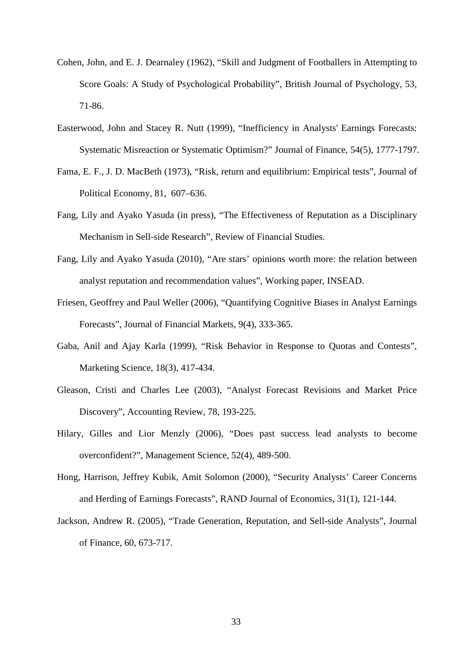- Cohen, John, and E. J. Dearnaley (1962), "Skill and Judgment of Footballers in Attempting to Score Goals: A Study of Psychological Probability", British Journal of Psychology, 53*,* 71-86.
- Easterwood, John and Stacey R. Nutt (1999), "Inefficiency in Analysts' Earnings Forecasts: Systematic Misreaction or Systematic Optimism?" Journal of Finance, 54(5), 1777-1797.
- Fama, E. F., J. D. MacBeth (1973), "Risk, return and equilibrium: Empirical tests", Journal of Political Economy, 81, 607–636.
- Fang, Lily and Ayako Yasuda (in press), "The Effectiveness of Reputation as a Disciplinary Mechanism in Sell-side Research", Review of Financial Studies.
- Fang, Lily and Ayako Yasuda (2010), "Are stars' opinions worth more: the relation between analyst reputation and recommendation values", Working paper, INSEAD.
- Friesen, Geoffrey and Paul Weller (2006), "Quantifying Cognitive Biases in Analyst Earnings Forecasts", Journal of Financial Markets, 9(4), 333-365.
- Gaba, Anil and Ajay Karla (1999), "Risk Behavior in Response to Quotas and Contests", Marketing Science, 18(3), 417-434.
- Gleason, Cristi and Charles Lee (2003), "Analyst Forecast Revisions and Market Price Discovery", Accounting Review, 78, 193-225.
- Hilary, Gilles and Lior Menzly (2006), "Does past success lead analysts to become overconfident?", Management Science, 52(4), 489-500.
- Hong, Harrison, Jeffrey Kubik, Amit Solomon (2000), "Security Analysts' Career Concerns and Herding of Earnings Forecasts", RAND Journal of Economics, 31(1), 121-144.
- Jackson, Andrew R. (2005), "Trade Generation, Reputation, and Sell-side Analysts", Journal of Finance, 60, 673-717.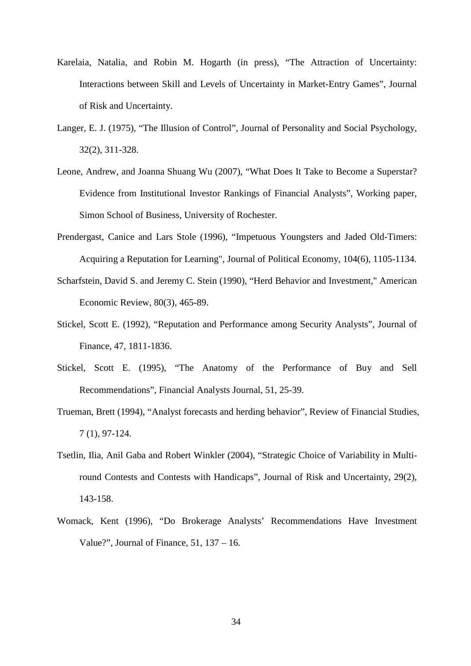- Karelaia, Natalia, and Robin M. Hogarth (in press), "The Attraction of Uncertainty: Interactions between Skill and Levels of Uncertainty in Market-Entry Games", Journal of Risk and Uncertainty.
- Langer, E. J. (1975), "The Illusion of Control", Journal of Personality and Social Psychology, 32(2), 311-328.
- Leone, Andrew, and Joanna Shuang Wu (2007), "What Does It Take to Become a Superstar? Evidence from Institutional Investor Rankings of Financial Analysts", Working paper, Simon School of Business, University of Rochester.
- Prendergast, Canice and Lars Stole (1996), "Impetuous Youngsters and Jaded Old-Timers: Acquiring a Reputation for Learning", Journal of Political Economy, 104(6), 1105-1134.
- Scharfstein, David S. and Jeremy C. Stein (1990), "Herd Behavior and Investment," American Economic Review, 80(3), 465-89.
- Stickel, Scott E. (1992), "Reputation and Performance among Security Analysts", Journal of Finance, 47, 1811-1836.
- Stickel, Scott E. (1995), "The Anatomy of the Performance of Buy and Sell Recommendations", Financial Analysts Journal, 51, 25-39.
- Trueman, Brett (1994), "Analyst forecasts and herding behavior", Review of Financial Studies, 7 (1), 97-124.
- Tsetlin, Ilia, Anil Gaba and Robert Winkler (2004), "Strategic Choice of Variability in Multiround Contests and Contests with Handicaps", Journal of Risk and Uncertainty, 29(2), 143-158.
- Womack, Kent (1996), "Do Brokerage Analysts' Recommendations Have Investment Value?", Journal of Finance, 51, 137 – 16.